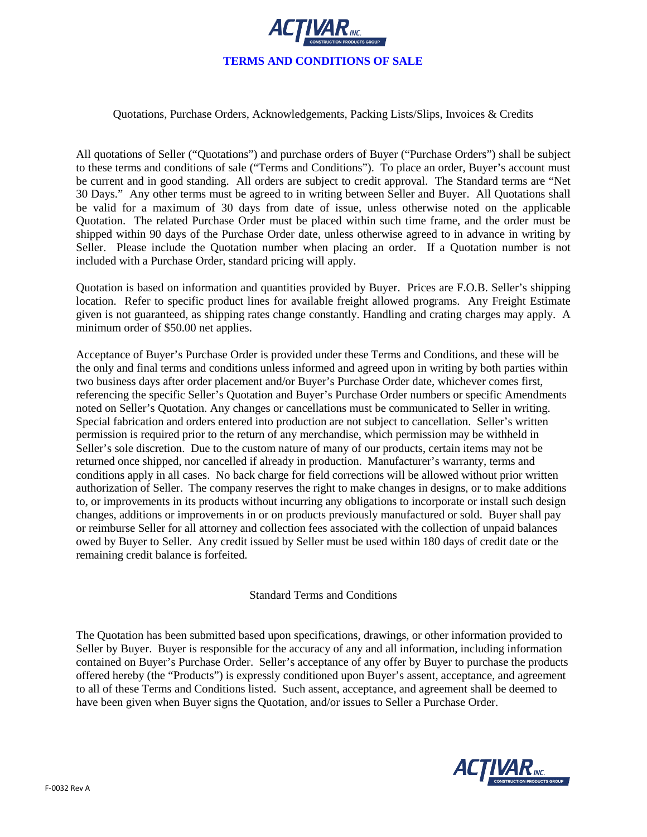

## Quotations, Purchase Orders, Acknowledgements, Packing Lists/Slips, Invoices & Credits

All quotations of Seller ("Quotations") and purchase orders of Buyer ("Purchase Orders") shall be subject to these terms and conditions of sale ("Terms and Conditions"). To place an order, Buyer's account must be current and in good standing. All orders are subject to credit approval. The Standard terms are "Net 30 Days." Any other terms must be agreed to in writing between Seller and Buyer. All Quotations shall be valid for a maximum of 30 days from date of issue, unless otherwise noted on the applicable Quotation. The related Purchase Order must be placed within such time frame, and the order must be shipped within 90 days of the Purchase Order date, unless otherwise agreed to in advance in writing by Seller. Please include the Quotation number when placing an order. If a Quotation number is not included with a Purchase Order, standard pricing will apply.

Quotation is based on information and quantities provided by Buyer. Prices are F.O.B. Seller's shipping location. Refer to specific product lines for available freight allowed programs. Any Freight Estimate given is not guaranteed, as shipping rates change constantly. Handling and crating charges may apply. A minimum order of \$50.00 net applies.

Acceptance of Buyer's Purchase Order is provided under these Terms and Conditions, and these will be the only and final terms and conditions unless informed and agreed upon in writing by both parties within two business days after order placement and/or Buyer's Purchase Order date, whichever comes first, referencing the specific Seller's Quotation and Buyer's Purchase Order numbers or specific Amendments noted on Seller's Quotation. Any changes or cancellations must be communicated to Seller in writing. Special fabrication and orders entered into production are not subject to cancellation. Seller's written permission is required prior to the return of any merchandise, which permission may be withheld in Seller's sole discretion. Due to the custom nature of many of our products, certain items may not be returned once shipped, nor cancelled if already in production. Manufacturer's warranty, terms and conditions apply in all cases. No back charge for field corrections will be allowed without prior written authorization of Seller. The company reserves the right to make changes in designs, or to make additions to, or improvements in its products without incurring any obligations to incorporate or install such design changes, additions or improvements in or on products previously manufactured or sold. Buyer shall pay or reimburse Seller for all attorney and collection fees associated with the collection of unpaid balances owed by Buyer to Seller. Any credit issued by Seller must be used within 180 days of credit date or the remaining credit balance is forfeited.

Standard Terms and Conditions

The Quotation has been submitted based upon specifications, drawings, or other information provided to Seller by Buyer. Buyer is responsible for the accuracy of any and all information, including information contained on Buyer's Purchase Order. Seller's acceptance of any offer by Buyer to purchase the products offered hereby (the "Products") is expressly conditioned upon Buyer's assent, acceptance, and agreement to all of these Terms and Conditions listed. Such assent, acceptance, and agreement shall be deemed to have been given when Buyer signs the Quotation, and/or issues to Seller a Purchase Order.

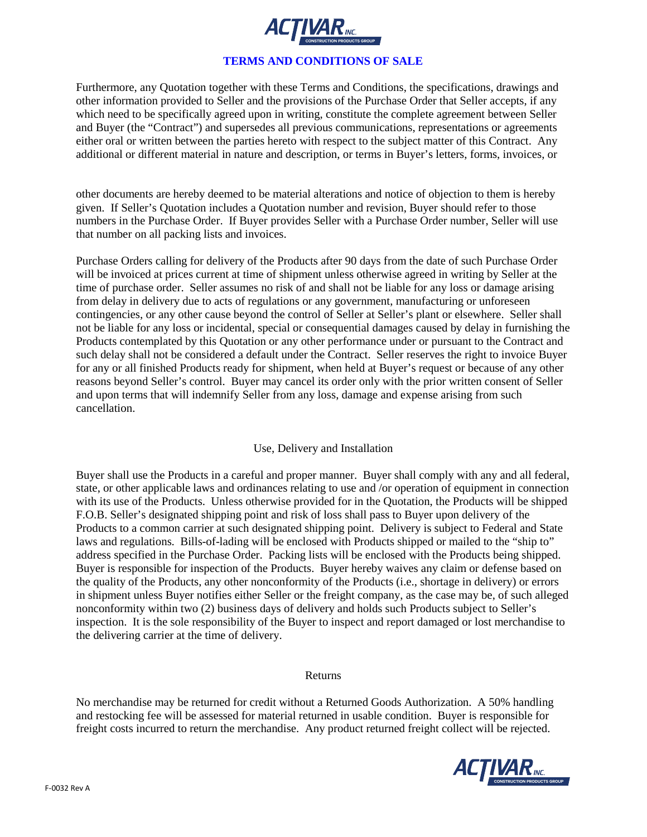

# **TERMS AND CONDITIONS OF SALE**

Furthermore, any Quotation together with these Terms and Conditions, the specifications, drawings and other information provided to Seller and the provisions of the Purchase Order that Seller accepts, if any which need to be specifically agreed upon in writing, constitute the complete agreement between Seller and Buyer (the "Contract") and supersedes all previous communications, representations or agreements either oral or written between the parties hereto with respect to the subject matter of this Contract. Any additional or different material in nature and description, or terms in Buyer's letters, forms, invoices, or

other documents are hereby deemed to be material alterations and notice of objection to them is hereby given. If Seller's Quotation includes a Quotation number and revision, Buyer should refer to those numbers in the Purchase Order. If Buyer provides Seller with a Purchase Order number, Seller will use that number on all packing lists and invoices.

Purchase Orders calling for delivery of the Products after 90 days from the date of such Purchase Order will be invoiced at prices current at time of shipment unless otherwise agreed in writing by Seller at the time of purchase order. Seller assumes no risk of and shall not be liable for any loss or damage arising from delay in delivery due to acts of regulations or any government, manufacturing or unforeseen contingencies, or any other cause beyond the control of Seller at Seller's plant or elsewhere. Seller shall not be liable for any loss or incidental, special or consequential damages caused by delay in furnishing the Products contemplated by this Quotation or any other performance under or pursuant to the Contract and such delay shall not be considered a default under the Contract. Seller reserves the right to invoice Buyer for any or all finished Products ready for shipment, when held at Buyer's request or because of any other reasons beyond Seller's control. Buyer may cancel its order only with the prior written consent of Seller and upon terms that will indemnify Seller from any loss, damage and expense arising from such cancellation.

# Use, Delivery and Installation

Buyer shall use the Products in a careful and proper manner. Buyer shall comply with any and all federal, state, or other applicable laws and ordinances relating to use and /or operation of equipment in connection with its use of the Products. Unless otherwise provided for in the Quotation, the Products will be shipped F.O.B. Seller's designated shipping point and risk of loss shall pass to Buyer upon delivery of the Products to a common carrier at such designated shipping point. Delivery is subject to Federal and State laws and regulations. Bills-of-lading will be enclosed with Products shipped or mailed to the "ship to" address specified in the Purchase Order. Packing lists will be enclosed with the Products being shipped. Buyer is responsible for inspection of the Products. Buyer hereby waives any claim or defense based on the quality of the Products, any other nonconformity of the Products (i.e., shortage in delivery) or errors in shipment unless Buyer notifies either Seller or the freight company, as the case may be, of such alleged nonconformity within two (2) business days of delivery and holds such Products subject to Seller's inspection. It is the sole responsibility of the Buyer to inspect and report damaged or lost merchandise to the delivering carrier at the time of delivery.

#### Returns

No merchandise may be returned for credit without a Returned Goods Authorization. A 50% handling and restocking fee will be assessed for material returned in usable condition. Buyer is responsible for freight costs incurred to return the merchandise. Any product returned freight collect will be rejected.

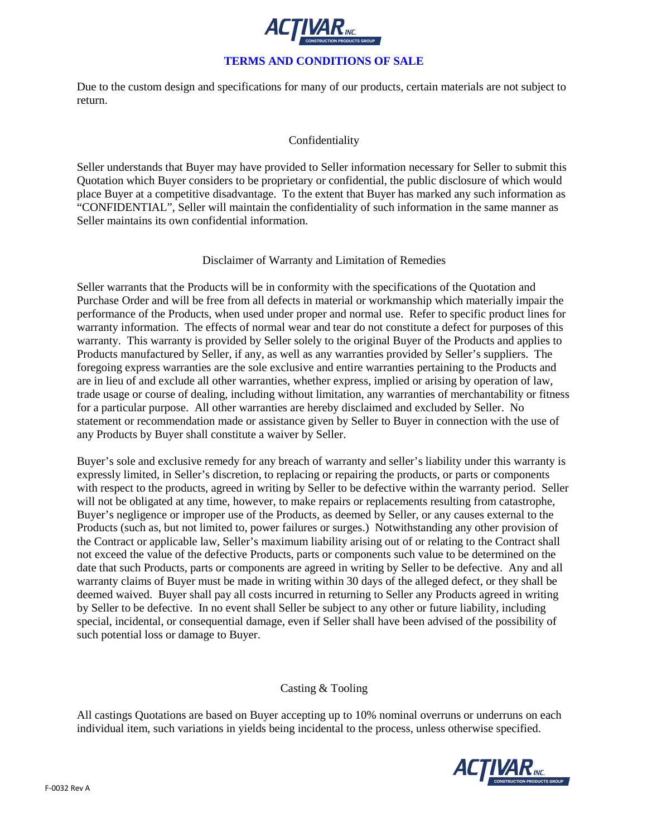

# **TERMS AND CONDITIONS OF SALE**

Due to the custom design and specifications for many of our products, certain materials are not subject to return.

## Confidentiality

Seller understands that Buyer may have provided to Seller information necessary for Seller to submit this Quotation which Buyer considers to be proprietary or confidential, the public disclosure of which would place Buyer at a competitive disadvantage. To the extent that Buyer has marked any such information as "CONFIDENTIAL", Seller will maintain the confidentiality of such information in the same manner as Seller maintains its own confidential information.

### Disclaimer of Warranty and Limitation of Remedies

Seller warrants that the Products will be in conformity with the specifications of the Quotation and Purchase Order and will be free from all defects in material or workmanship which materially impair the performance of the Products, when used under proper and normal use. Refer to specific product lines for warranty information. The effects of normal wear and tear do not constitute a defect for purposes of this warranty. This warranty is provided by Seller solely to the original Buyer of the Products and applies to Products manufactured by Seller, if any, as well as any warranties provided by Seller's suppliers. The foregoing express warranties are the sole exclusive and entire warranties pertaining to the Products and are in lieu of and exclude all other warranties, whether express, implied or arising by operation of law, trade usage or course of dealing, including without limitation, any warranties of merchantability or fitness for a particular purpose. All other warranties are hereby disclaimed and excluded by Seller. No statement or recommendation made or assistance given by Seller to Buyer in connection with the use of any Products by Buyer shall constitute a waiver by Seller.

Buyer's sole and exclusive remedy for any breach of warranty and seller's liability under this warranty is expressly limited, in Seller's discretion, to replacing or repairing the products, or parts or components with respect to the products, agreed in writing by Seller to be defective within the warranty period. Seller will not be obligated at any time, however, to make repairs or replacements resulting from catastrophe, Buyer's negligence or improper use of the Products, as deemed by Seller, or any causes external to the Products (such as, but not limited to, power failures or surges.) Notwithstanding any other provision of the Contract or applicable law, Seller's maximum liability arising out of or relating to the Contract shall not exceed the value of the defective Products, parts or components such value to be determined on the date that such Products, parts or components are agreed in writing by Seller to be defective. Any and all warranty claims of Buyer must be made in writing within 30 days of the alleged defect, or they shall be deemed waived. Buyer shall pay all costs incurred in returning to Seller any Products agreed in writing by Seller to be defective. In no event shall Seller be subject to any other or future liability, including special, incidental, or consequential damage, even if Seller shall have been advised of the possibility of such potential loss or damage to Buyer.

# Casting & Tooling

All castings Quotations are based on Buyer accepting up to 10% nominal overruns or underruns on each individual item, such variations in yields being incidental to the process, unless otherwise specified.

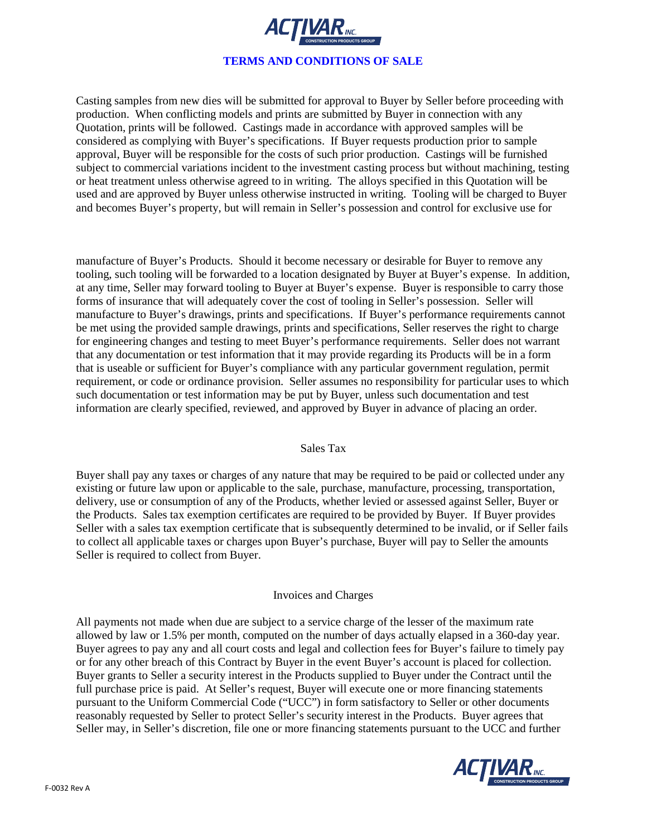

Casting samples from new dies will be submitted for approval to Buyer by Seller before proceeding with production. When conflicting models and prints are submitted by Buyer in connection with any Quotation, prints will be followed. Castings made in accordance with approved samples will be considered as complying with Buyer's specifications. If Buyer requests production prior to sample approval, Buyer will be responsible for the costs of such prior production. Castings will be furnished subject to commercial variations incident to the investment casting process but without machining, testing or heat treatment unless otherwise agreed to in writing. The alloys specified in this Quotation will be used and are approved by Buyer unless otherwise instructed in writing. Tooling will be charged to Buyer and becomes Buyer's property, but will remain in Seller's possession and control for exclusive use for

manufacture of Buyer's Products. Should it become necessary or desirable for Buyer to remove any tooling, such tooling will be forwarded to a location designated by Buyer at Buyer's expense. In addition, at any time, Seller may forward tooling to Buyer at Buyer's expense. Buyer is responsible to carry those forms of insurance that will adequately cover the cost of tooling in Seller's possession. Seller will manufacture to Buyer's drawings, prints and specifications. If Buyer's performance requirements cannot be met using the provided sample drawings, prints and specifications, Seller reserves the right to charge for engineering changes and testing to meet Buyer's performance requirements. Seller does not warrant that any documentation or test information that it may provide regarding its Products will be in a form that is useable or sufficient for Buyer's compliance with any particular government regulation, permit requirement, or code or ordinance provision. Seller assumes no responsibility for particular uses to which such documentation or test information may be put by Buyer, unless such documentation and test information are clearly specified, reviewed, and approved by Buyer in advance of placing an order.

### Sales Tax

Buyer shall pay any taxes or charges of any nature that may be required to be paid or collected under any existing or future law upon or applicable to the sale, purchase, manufacture, processing, transportation, delivery, use or consumption of any of the Products, whether levied or assessed against Seller, Buyer or the Products. Sales tax exemption certificates are required to be provided by Buyer. If Buyer provides Seller with a sales tax exemption certificate that is subsequently determined to be invalid, or if Seller fails to collect all applicable taxes or charges upon Buyer's purchase, Buyer will pay to Seller the amounts Seller is required to collect from Buyer.

#### Invoices and Charges

All payments not made when due are subject to a service charge of the lesser of the maximum rate allowed by law or 1.5% per month, computed on the number of days actually elapsed in a 360-day year. Buyer agrees to pay any and all court costs and legal and collection fees for Buyer's failure to timely pay or for any other breach of this Contract by Buyer in the event Buyer's account is placed for collection. Buyer grants to Seller a security interest in the Products supplied to Buyer under the Contract until the full purchase price is paid. At Seller's request, Buyer will execute one or more financing statements pursuant to the Uniform Commercial Code ("UCC") in form satisfactory to Seller or other documents reasonably requested by Seller to protect Seller's security interest in the Products. Buyer agrees that Seller may, in Seller's discretion, file one or more financing statements pursuant to the UCC and further